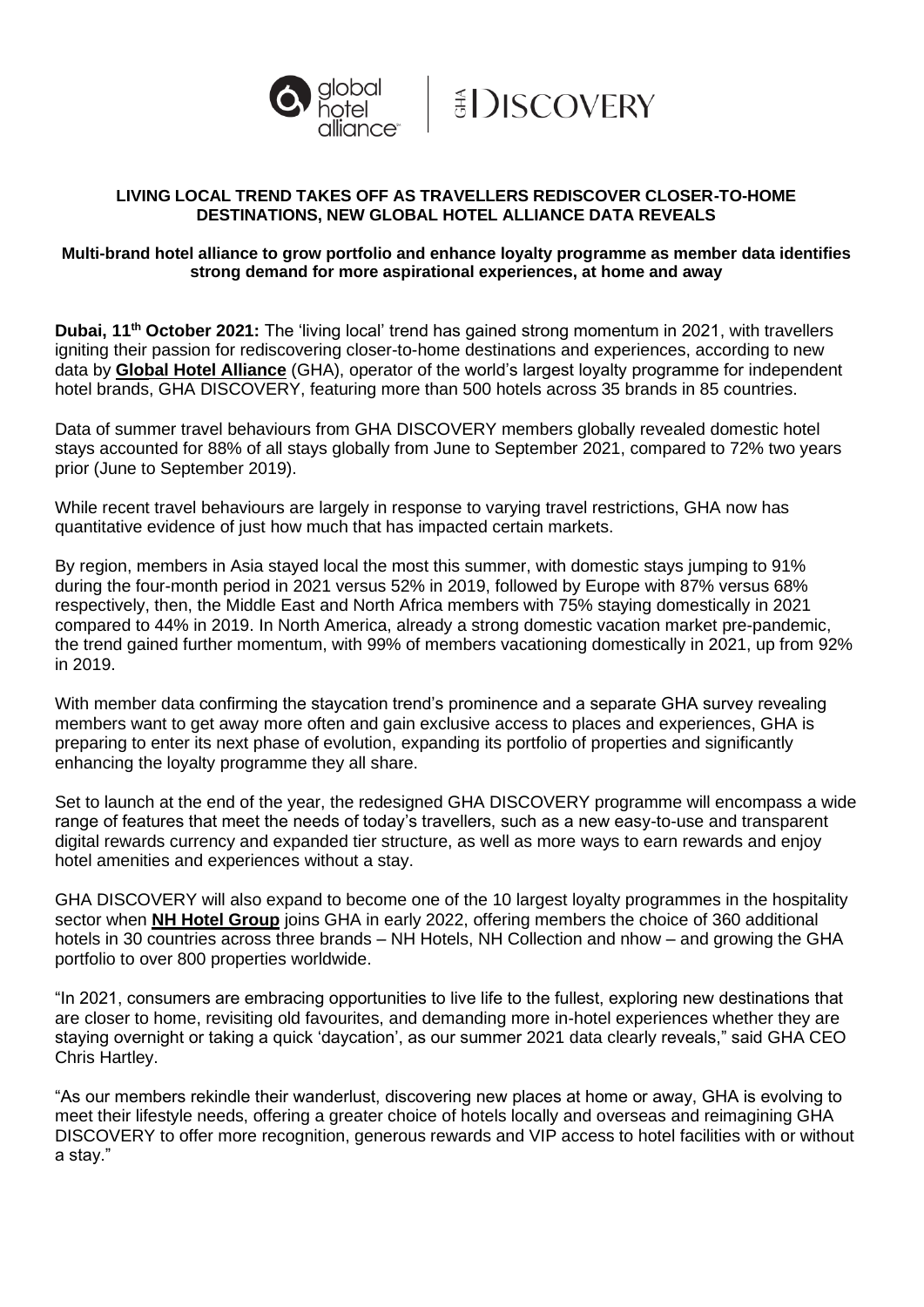



# **LIVING LOCAL TREND TAKES OFF AS TRAVELLERS REDISCOVER CLOSER-TO-HOME DESTINATIONS, NEW GLOBAL HOTEL ALLIANCE DATA REVEALS**

### **Multi-brand hotel alliance to grow portfolio and enhance loyalty programme as member data identifies strong demand for more aspirational experiences, at home and away**

**Dubai, 11th October 2021:** The 'living local' trend has gained strong momentum in 2021, with travellers igniting their passion for rediscovering closer-to-home destinations and experiences, according to new data by **[Global Hotel Alliance](https://www.globalhotelalliance.com/)** (GHA), operator of the world's largest loyalty programme for independent hotel brands, GHA DISCOVERY, featuring more than 500 hotels across 35 brands in 85 countries.

Data of summer travel behaviours from GHA DISCOVERY members globally revealed domestic hotel stays accounted for 88% of all stays globally from June to September 2021, compared to 72% two years prior (June to September 2019).

While recent travel behaviours are largely in response to varying travel restrictions, GHA now has quantitative evidence of just how much that has impacted certain markets.

By region, members in Asia stayed local the most this summer, with domestic stays jumping to 91% during the four-month period in 2021 versus 52% in 2019, followed by Europe with 87% versus 68% respectively, then, the Middle East and North Africa members with 75% staying domestically in 2021 compared to 44% in 2019. In North America, already a strong domestic vacation market pre-pandemic, the trend gained further momentum, with 99% of members vacationing domestically in 2021, up from 92% in 2019.

With member data confirming the staycation trend's prominence and a separate GHA survey revealing members want to get away more often and gain exclusive access to places and experiences, GHA is preparing to enter its next phase of evolution, expanding its portfolio of properties and significantly enhancing the loyalty programme they all share.

Set to launch at the end of the year, the redesigned GHA DISCOVERY programme will encompass a wide range of features that meet the needs of today's travellers, such as a new easy-to-use and transparent digital rewards currency and expanded tier structure, as well as more ways to earn rewards and enjoy hotel amenities and experiences without a stay.

GHA DISCOVERY will also expand to become one of the 10 largest loyalty programmes in the hospitality sector when **[NH Hotel Group](https://www.nh-hotels.com/)** joins GHA in early 2022, offering members the choice of 360 additional hotels in 30 countries across three brands – NH Hotels, NH Collection and nhow – and growing the GHA portfolio to over 800 properties worldwide.

"In 2021, consumers are embracing opportunities to live life to the fullest, exploring new destinations that are closer to home, revisiting old favourites, and demanding more in-hotel experiences whether they are staying overnight or taking a quick 'daycation', as our summer 2021 data clearly reveals," said GHA CEO Chris Hartley.

"As our members rekindle their wanderlust, discovering new places at home or away, GHA is evolving to meet their lifestyle needs, offering a greater choice of hotels locally and overseas and reimagining GHA DISCOVERY to offer more recognition, generous rewards and VIP access to hotel facilities with or without a stay."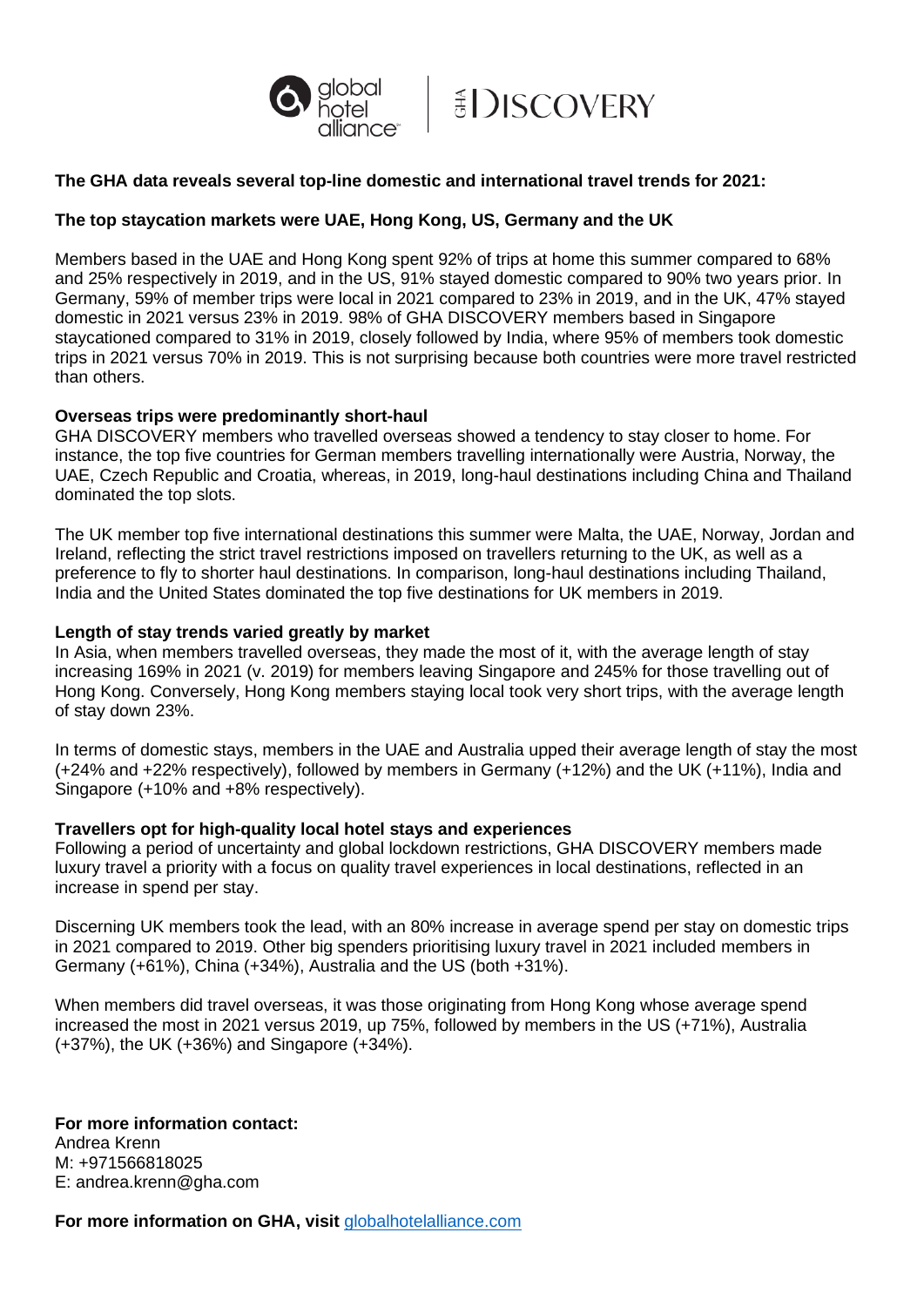



# **The GHA data reveals several top-line domestic and international travel trends for 2021:**

# **The top staycation markets were UAE, Hong Kong, US, Germany and the UK**

Members based in the UAE and Hong Kong spent 92% of trips at home this summer compared to 68% and 25% respectively in 2019, and in the US, 91% stayed domestic compared to 90% two years prior. In Germany, 59% of member trips were local in 2021 compared to 23% in 2019, and in the UK, 47% stayed domestic in 2021 versus 23% in 2019. 98% of GHA DISCOVERY members based in Singapore staycationed compared to 31% in 2019, closely followed by India, where 95% of members took domestic trips in 2021 versus 70% in 2019. This is not surprising because both countries were more travel restricted than others.

### **Overseas trips were predominantly short-haul**

GHA DISCOVERY members who travelled overseas showed a tendency to stay closer to home. For instance, the top five countries for German members travelling internationally were Austria, Norway, the UAE, Czech Republic and Croatia, whereas, in 2019, long-haul destinations including China and Thailand dominated the top slots.

The UK member top five international destinations this summer were Malta, the UAE, Norway, Jordan and Ireland, reflecting the strict travel restrictions imposed on travellers returning to the UK, as well as a preference to fly to shorter haul destinations. In comparison, long-haul destinations including Thailand, India and the United States dominated the top five destinations for UK members in 2019.

#### **Length of stay trends varied greatly by market**

In Asia, when members travelled overseas, they made the most of it, with the average length of stay increasing 169% in 2021 (v. 2019) for members leaving Singapore and 245% for those travelling out of Hong Kong. Conversely, Hong Kong members staying local took very short trips, with the average length of stay down 23%.

In terms of domestic stays, members in the UAE and Australia upped their average length of stay the most (+24% and +22% respectively), followed by members in Germany (+12%) and the UK (+11%), India and Singapore (+10% and +8% respectively).

#### **Travellers opt for high-quality local hotel stays and experiences**

Following a period of uncertainty and global lockdown restrictions, GHA DISCOVERY members made luxury travel a priority with a focus on quality travel experiences in local destinations, reflected in an increase in spend per stay.

Discerning UK members took the lead, with an 80% increase in average spend per stay on domestic trips in 2021 compared to 2019. Other big spenders prioritising luxury travel in 2021 included members in Germany (+61%), China (+34%), Australia and the US (both +31%).

When members did travel overseas, it was those originating from Hong Kong whose average spend increased the most in 2021 versus 2019, up 75%, followed by members in the US (+71%), Australia (+37%), the UK (+36%) and Singapore (+34%).

**For more information contact:**  Andrea Krenn M: +971566818025 E: andrea.krenn@gha.com

**For more information on GHA, visit** [globalhotelalliance.com](https://www.globalhotelalliance.com/)